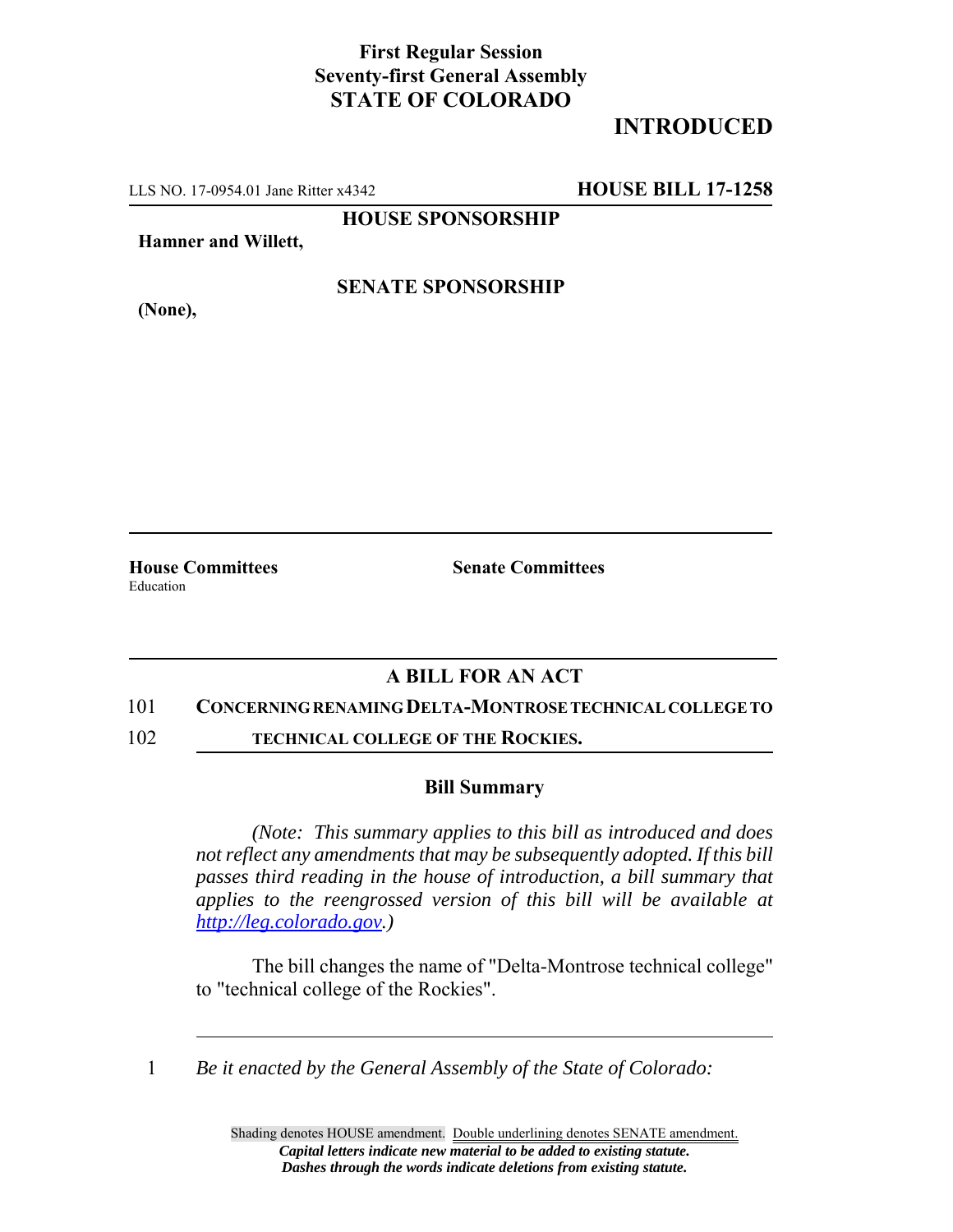## **First Regular Session Seventy-first General Assembly STATE OF COLORADO**

# **INTRODUCED**

LLS NO. 17-0954.01 Jane Ritter x4342 **HOUSE BILL 17-1258**

**HOUSE SPONSORSHIP**

**Hamner and Willett,**

### **SENATE SPONSORSHIP**

**(None),**

**House Committees Senate Committees** Education

## **A BILL FOR AN ACT**

#### 101 **CONCERNING RENAMING DELTA-MONTROSE TECHNICAL COLLEGE TO**

102 **TECHNICAL COLLEGE OF THE ROCKIES.**

#### **Bill Summary**

*(Note: This summary applies to this bill as introduced and does not reflect any amendments that may be subsequently adopted. If this bill passes third reading in the house of introduction, a bill summary that applies to the reengrossed version of this bill will be available at http://leg.colorado.gov.)*

The bill changes the name of "Delta-Montrose technical college" to "technical college of the Rockies".

1 *Be it enacted by the General Assembly of the State of Colorado:*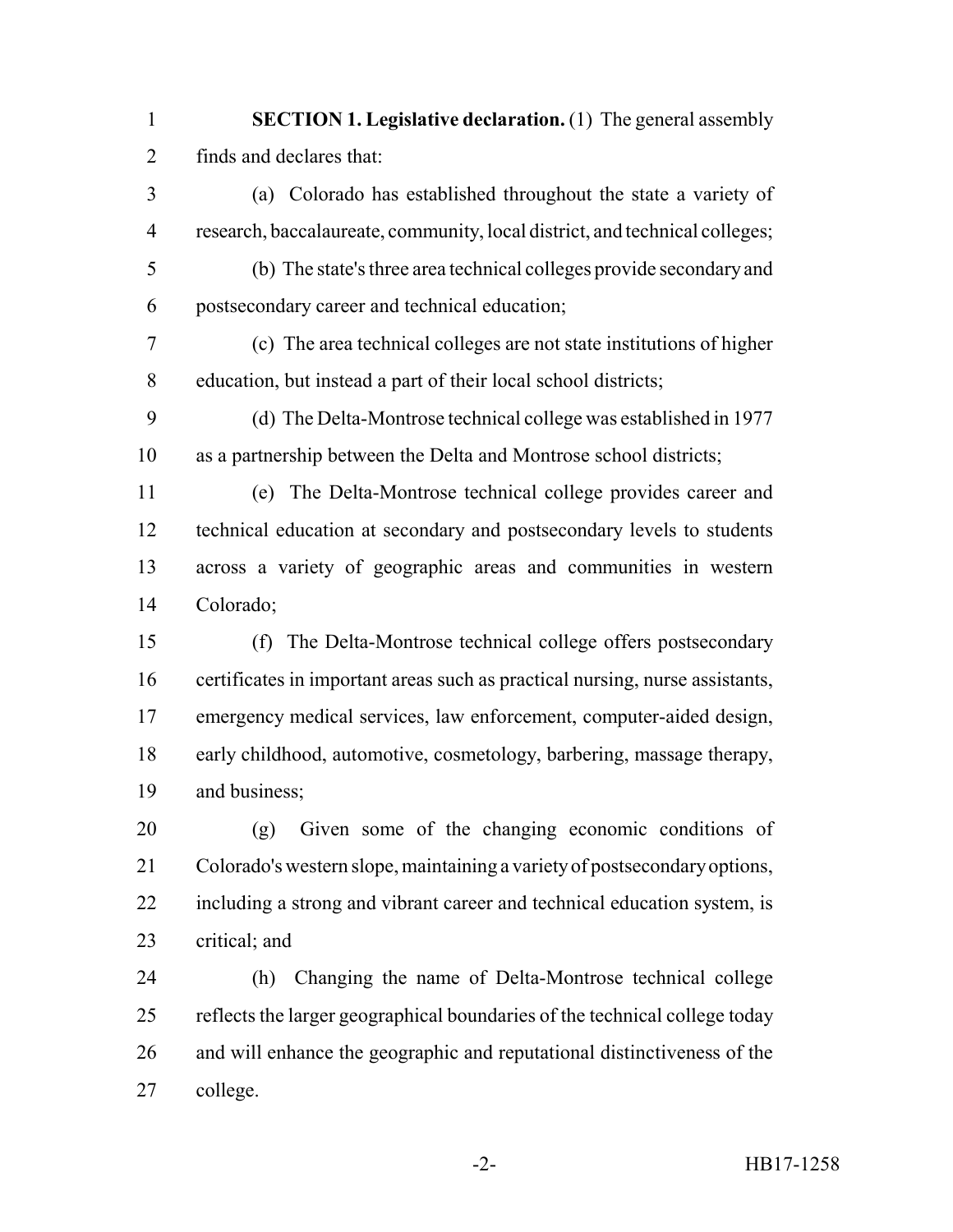- **SECTION 1. Legislative declaration.** (1) The general assembly finds and declares that:
- (a) Colorado has established throughout the state a variety of research, baccalaureate, community, local district, and technical colleges;
- (b) The state's three area technical colleges provide secondary and postsecondary career and technical education;
- (c) The area technical colleges are not state institutions of higher education, but instead a part of their local school districts;
- (d) The Delta-Montrose technical college was established in 1977 as a partnership between the Delta and Montrose school districts;
- (e) The Delta-Montrose technical college provides career and technical education at secondary and postsecondary levels to students across a variety of geographic areas and communities in western Colorado;
- (f) The Delta-Montrose technical college offers postsecondary certificates in important areas such as practical nursing, nurse assistants, emergency medical services, law enforcement, computer-aided design, early childhood, automotive, cosmetology, barbering, massage therapy, and business;
- (g) Given some of the changing economic conditions of Colorado's western slope, maintaining a variety of postsecondary options, including a strong and vibrant career and technical education system, is critical; and
- (h) Changing the name of Delta-Montrose technical college reflects the larger geographical boundaries of the technical college today and will enhance the geographic and reputational distinctiveness of the college.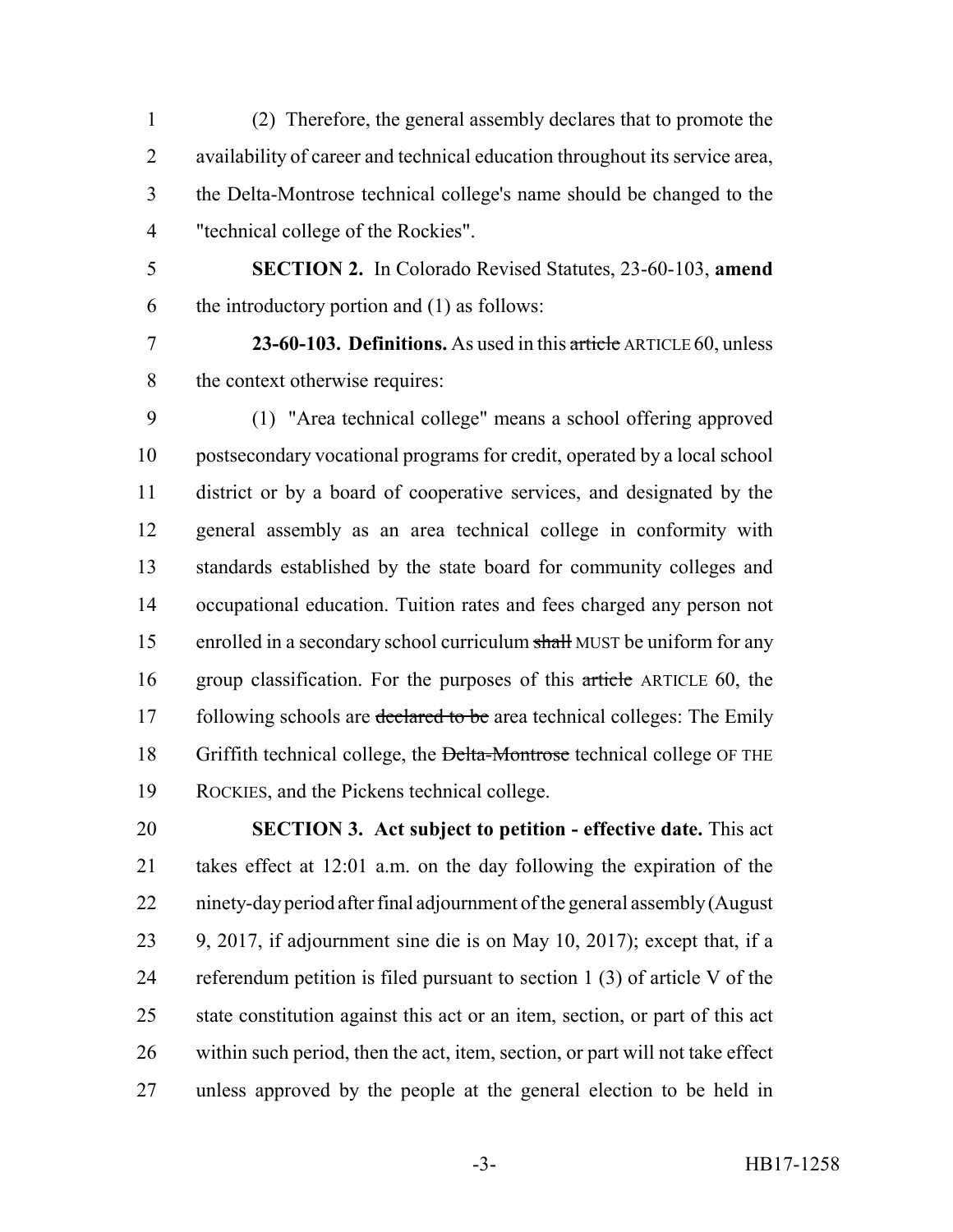(2) Therefore, the general assembly declares that to promote the availability of career and technical education throughout its service area, the Delta-Montrose technical college's name should be changed to the "technical college of the Rockies".

 **SECTION 2.** In Colorado Revised Statutes, 23-60-103, **amend** the introductory portion and (1) as follows:

 **23-60-103. Definitions.** As used in this article ARTICLE 60, unless the context otherwise requires:

 (1) "Area technical college" means a school offering approved postsecondary vocational programs for credit, operated by a local school district or by a board of cooperative services, and designated by the general assembly as an area technical college in conformity with standards established by the state board for community colleges and occupational education. Tuition rates and fees charged any person not 15 enrolled in a secondary school curriculum shall MUST be uniform for any 16 group classification. For the purposes of this article ARTICLE 60, the 17 following schools are declared to be area technical colleges: The Emily 18 Griffith technical college, the Delta-Montrose technical college OF THE ROCKIES, and the Pickens technical college.

 **SECTION 3. Act subject to petition - effective date.** This act takes effect at 12:01 a.m. on the day following the expiration of the ninety-day period after final adjournment of the general assembly (August 9, 2017, if adjournment sine die is on May 10, 2017); except that, if a referendum petition is filed pursuant to section 1 (3) of article V of the state constitution against this act or an item, section, or part of this act within such period, then the act, item, section, or part will not take effect unless approved by the people at the general election to be held in